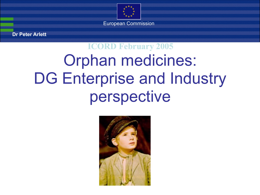

**Dr Peter Arlett**

#### Orphan medicines: DG Enterprise and Industry perspective **ICORD February 2005**

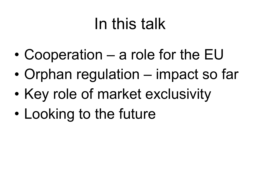## In this talk

- Cooperation a role for the EU
- Orphan regulation impact so far
- Key role of market exclusivity
- Looking to the future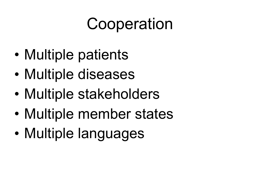## **Cooperation**

- Multiple patients
- Multiple diseases
- Multiple stakeholders
- Multiple member states
- Multiple languages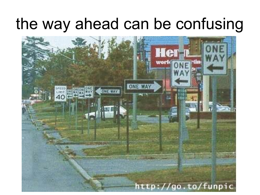#### the way ahead can be confusing

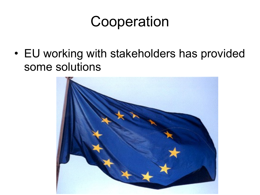#### Cooperation

• EU working with stakeholders has provided some solutions

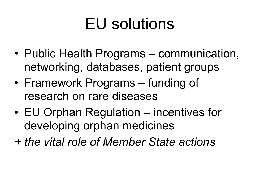## EU solutions

- Public Health Programs communication, networking, databases, patient groups
- Framework Programs funding of research on rare diseases
- EU Orphan Regulation incentives for developing orphan medicines
- *+ the vital role of Member State actions*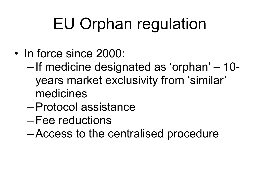## EU Orphan regulation

- In force since 2000:
	- If medicine designated as 'orphan' 10 years market exclusivity from 'similar' medicines
	- –Protocol assistance
	- –Fee reductions
	- –Access to the centralised procedure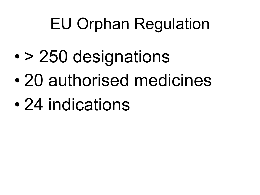## EU Orphan Regulation

- > 250 designations
- 20 authorised medicines
- 24 indications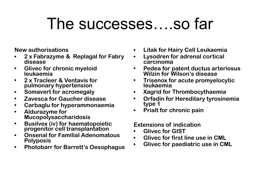#### The successes….so far

**New authorisations**

- **• 2 x Fabrazyme & Replagal for Fabry disease**
- **• Glivec for chronic myeloid leukaemia**
- **• 2 x Tracleer & Ventavis for pulmonary hypertension**
- **• Somavert for acromegaly**
- **• Zavesca for Gaucher disease**
- **• Carbaglu for hyperammonaemia**
- **• Aldurazyme for Mucopolysaccharidosis**
- **• Busilvex (iv) for haematopoietic progenitor cell transplantation**
- **• Onsenal for Familial Adenomatous Polyposis**
- **• Photobarr for Barrett's Oesophagus**
- **• Litak for Hairy Cell Leukaemia**
- **• Lysodren for adrenal cortical carcinoma**
- **• Pedea for patent ductus arteriosus Wilzin for Wilson's disease**
- **• Trisenox for acute promyelocytic leukaemia**
- **• Xagrid for Thrombocythaemia**
- **• Orfadin for Hereditary tyrosinemia type 1**
- **• Prialt for chronic pain**

**Extensions of indication**

- **• Glivec for GIST**
- **• Glivec for first line use in CML**
- **• Glivec for paediatric use in CML**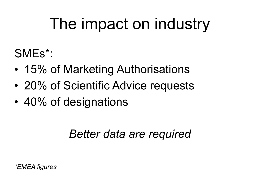## The impact on industry

SMEs\*:

- 15% of Marketing Authorisations
- 20% of Scientific Advice requests
- 40% of designations

#### *Better data are required*

*\*EMEA figures*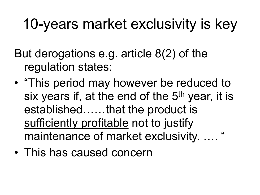#### 10-years market exclusivity is key

But derogations e.g. article 8(2) of the regulation states:

- "This period may however be reduced to six years if, at the end of the 5<sup>th</sup> year, it is established……that the product is sufficiently profitable not to justify maintenance of market exclusivity. .... "
- This has caused concern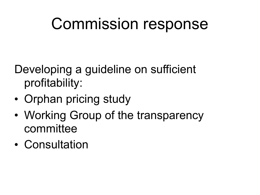#### Commission response

Developing a guideline on sufficient profitability:

- Orphan pricing study
- Working Group of the transparency committee
- Consultation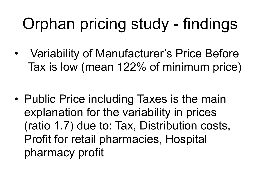- Variability of Manufacturer's Price Before Tax is low (mean 122% of minimum price)
- Public Price including Taxes is the main explanation for the variability in prices (ratio 1.7) due to: Tax, Distribution costs, Profit for retail pharmacies, Hospital pharmacy profit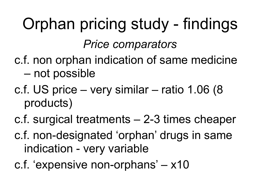## Orphan pricing study - findings *Price comparators*

- c.f. non orphan indication of same medicine – not possible
- c.f. US price very similar ratio 1.06 (8 products)
- c.f. surgical treatments 2-3 times cheaper
- c.f. non-designated 'orphan' drugs in same indication - very variable
- c.f. 'expensive non-orphans' x10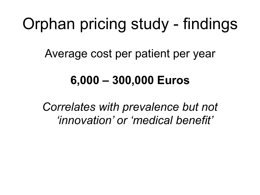Average cost per patient per year

#### **6,000 – 300,000 Euros**

*Correlates with prevalence but not 'innovation' or 'medical benefit'*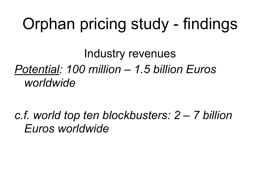Industry revenues *Potential: 100 million – 1.5 billion Euros worldwide*

*c.f. world top ten blockbusters: 2 – 7 billion Euros worldwide*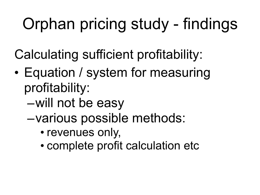Calculating sufficient profitability:

- Equation / system for measuring profitability:
	- –will not be easy
	- –various possible methods:
		- revenues only,
		- complete profit calculation etc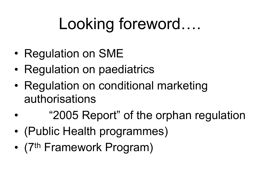# Looking foreword….

- Regulation on SME
- Regulation on paediatrics
- Regulation on conditional marketing authorisations
- "2005 Report" of the orphan regulation
- (Public Health programmes)
- (7<sup>th</sup> Framework Program)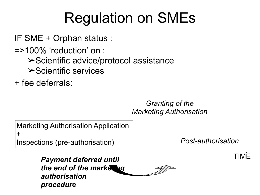#### Regulation on SMEs

IF SME + Orphan status :

=>100% 'reduction' on :

- ➢Scientific advice/protocol assistance
- ➢Scientific services

+ fee deferrals:

#### *Granting of the Marketing Authorisation*

Marketing Authorisation Application +

Inspections (pre-authorisation)

*Post-authorisation*

TIME

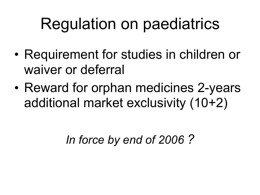## Regulation on paediatrics

- Requirement for studies in children or waiver or deferral
- Reward for orphan medicines 2-years additional market exclusivity (10+2)

*In force by end of 2006 ?*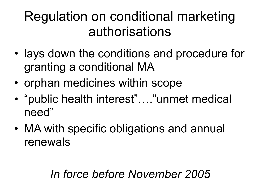#### Regulation on conditional marketing authorisations

- lays down the conditions and procedure for granting a conditional MA
- orphan medicines within scope
- "public health interest"…."unmet medical need"
- MA with specific obligations and annual renewals

#### *In force before November 2005*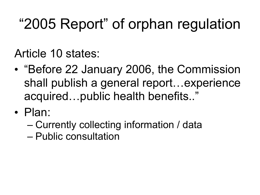#### "2005 Report" of orphan regulation

Article 10 states:

- "Before 22 January 2006, the Commission shall publish a general report...experience acquired…public health benefits.."
- Plan:
	- Currently collecting information / data
	- Public consultation